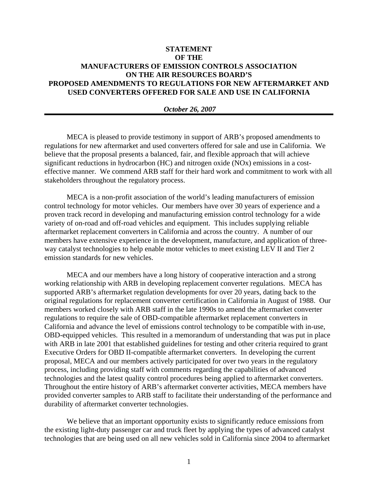## **STATEMENT OF THE MANUFACTURERS OF EMISSION CONTROLS ASSOCIATION ON THE AIR RESOURCES BOARD'S PROPOSED AMENDMENTS TO REGULATIONS FOR NEW AFTERMARKET AND USED CONVERTERS OFFERED FOR SALE AND USE IN CALIFORNIA**

## *October 26, 2007*

MECA is pleased to provide testimony in support of ARB's proposed amendments to regulations for new aftermarket and used converters offered for sale and use in California. We believe that the proposal presents a balanced, fair, and flexible approach that will achieve significant reductions in hydrocarbon (HC) and nitrogen oxide (NOx) emissions in a costeffective manner. We commend ARB staff for their hard work and commitment to work with all stakeholders throughout the regulatory process.

MECA is a non-profit association of the world's leading manufacturers of emission control technology for motor vehicles. Our members have over 30 years of experience and a proven track record in developing and manufacturing emission control technology for a wide variety of on-road and off-road vehicles and equipment. This includes supplying reliable aftermarket replacement converters in California and across the country. A number of our members have extensive experience in the development, manufacture, and application of threeway catalyst technologies to help enable motor vehicles to meet existing LEV II and Tier 2 emission standards for new vehicles.

MECA and our members have a long history of cooperative interaction and a strong working relationship with ARB in developing replacement converter regulations. MECA has supported ARB's aftermarket regulation developments for over 20 years, dating back to the original regulations for replacement converter certification in California in August of 1988. Our members worked closely with ARB staff in the late 1990s to amend the aftermarket converter regulations to require the sale of OBD-compatible aftermarket replacement converters in California and advance the level of emissions control technology to be compatible with in-use, OBD-equipped vehicles. This resulted in a memorandum of understanding that was put in place with ARB in late 2001 that established guidelines for testing and other criteria required to grant Executive Orders for OBD II-compatible aftermarket converters. In developing the current proposal, MECA and our members actively participated for over two years in the regulatory process, including providing staff with comments regarding the capabilities of advanced technologies and the latest quality control procedures being applied to aftermarket converters. Throughout the entire history of ARB's aftermarket converter activities, MECA members have provided converter samples to ARB staff to facilitate their understanding of the performance and durability of aftermarket converter technologies.

We believe that an important opportunity exists to significantly reduce emissions from the existing light-duty passenger car and truck fleet by applying the types of advanced catalyst technologies that are being used on all new vehicles sold in California since 2004 to aftermarket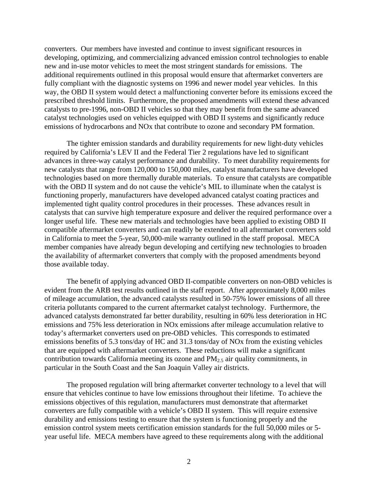converters. Our members have invested and continue to invest significant resources in developing, optimizing, and commercializing advanced emission control technologies to enable new and in-use motor vehicles to meet the most stringent standards for emissions. The additional requirements outlined in this proposal would ensure that aftermarket converters are fully compliant with the diagnostic systems on 1996 and newer model year vehicles. In this way, the OBD II system would detect a malfunctioning converter before its emissions exceed the prescribed threshold limits. Furthermore, the proposed amendments will extend these advanced catalysts to pre-1996, non-OBD II vehicles so that they may benefit from the same advanced catalyst technologies used on vehicles equipped with OBD II systems and significantly reduce emissions of hydrocarbons and NOx that contribute to ozone and secondary PM formation.

The tighter emission standards and durability requirements for new light-duty vehicles required by California's LEV II and the Federal Tier 2 regulations have led to significant advances in three-way catalyst performance and durability. To meet durability requirements for new catalysts that range from 120,000 to 150,000 miles, catalyst manufacturers have developed technologies based on more thermally durable materials. To ensure that catalysts are compatible with the OBD II system and do not cause the vehicle's MIL to illuminate when the catalyst is functioning properly, manufacturers have developed advanced catalyst coating practices and implemented tight quality control procedures in their processes. These advances result in catalysts that can survive high temperature exposure and deliver the required performance over a longer useful life. These new materials and technologies have been applied to existing OBD II compatible aftermarket converters and can readily be extended to all aftermarket converters sold in California to meet the 5-year, 50,000-mile warranty outlined in the staff proposal. MECA member companies have already begun developing and certifying new technologies to broaden the availability of aftermarket converters that comply with the proposed amendments beyond those available today.

The benefit of applying advanced OBD II-compatible converters on non-OBD vehicles is evident from the ARB test results outlined in the staff report. After approximately 8,000 miles of mileage accumulation, the advanced catalysts resulted in 50-75% lower emissions of all three criteria pollutants compared to the current aftermarket catalyst technology. Furthermore, the advanced catalysts demonstrated far better durability, resulting in 60% less deterioration in HC emissions and 75% less deterioration in NOx emissions after mileage accumulation relative to today's aftermarket converters used on pre-OBD vehicles. This corresponds to estimated emissions benefits of 5.3 tons/day of HC and 31.3 tons/day of NOx from the existing vehicles that are equipped with aftermarket converters. These reductions will make a significant contribution towards California meeting its ozone and  $PM_{2.5}$  air quality commitments, in particular in the South Coast and the San Joaquin Valley air districts.

The proposed regulation will bring aftermarket converter technology to a level that will ensure that vehicles continue to have low emissions throughout their lifetime. To achieve the emissions objectives of this regulation, manufacturers must demonstrate that aftermarket converters are fully compatible with a vehicle's OBD II system. This will require extensive durability and emissions testing to ensure that the system is functioning properly and the emission control system meets certification emission standards for the full 50,000 miles or 5 year useful life. MECA members have agreed to these requirements along with the additional